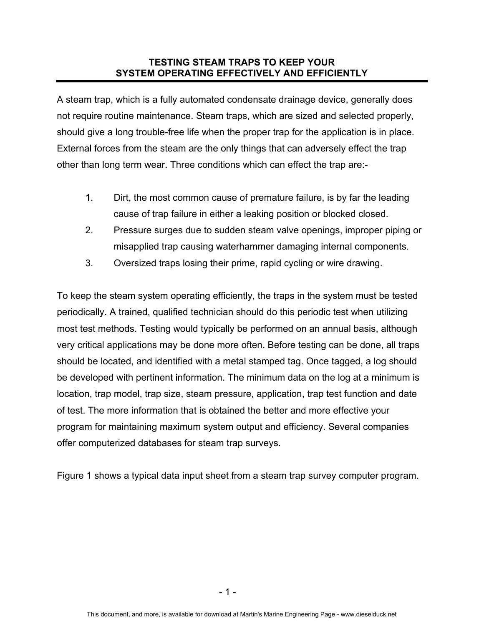# **TESTING STEAM TRAPS TO KEEP YOUR SYSTEM OPERATING EFFECTIVELY AND EFFICIENTLY**

A steam trap, which is a fully automated condensate drainage device, generally does not require routine maintenance. Steam traps, which are sized and selected properly, should give a long trouble-free life when the proper trap for the application is in place. External forces from the steam are the only things that can adversely effect the trap other than long term wear. Three conditions which can effect the trap are:-

- 1. Dirt, the most common cause of premature failure, is by far the leading cause of trap failure in either a leaking position or blocked closed.
- 2. Pressure surges due to sudden steam valve openings, improper piping or misapplied trap causing waterhammer damaging internal components.
- 3. Oversized traps losing their prime, rapid cycling or wire drawing.

To keep the steam system operating efficiently, the traps in the system must be tested periodically. A trained, qualified technician should do this periodic test when utilizing most test methods. Testing would typically be performed on an annual basis, although very critical applications may be done more often. Before testing can be done, all traps should be located, and identified with a metal stamped tag. Once tagged, a log should be developed with pertinent information. The minimum data on the log at a minimum is location, trap model, trap size, steam pressure, application, trap test function and date of test. The more information that is obtained the better and more effective your program for maintaining maximum system output and efficiency. Several companies offer computerized databases for steam trap surveys.

Figure 1 shows a typical data input sheet from a steam trap survey computer program.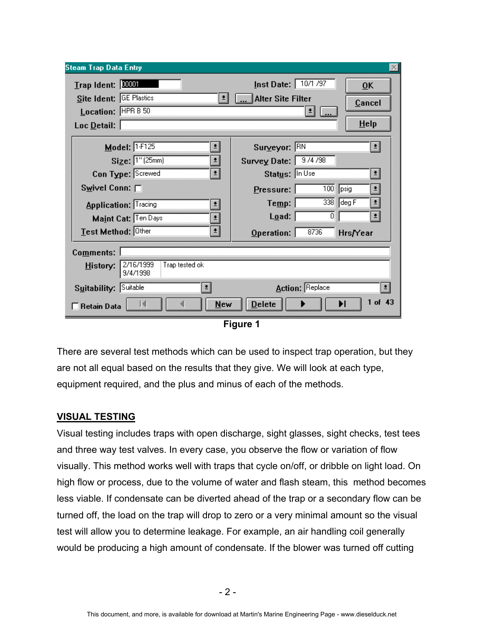| <b>Steam Trap Data Entry</b>                                          |                                                                               |  |  |  |  |  |
|-----------------------------------------------------------------------|-------------------------------------------------------------------------------|--|--|--|--|--|
| $I$ rap Ident: $10001$<br>Site Ident: GE Plastics                     | Inst Date:   10/1/97<br>$\overline{0}K$<br><b>Alter Site Filter</b><br>Cancel |  |  |  |  |  |
| Location: HPR B 50                                                    | 类                                                                             |  |  |  |  |  |
| Loc Detail:                                                           | $He$ lp                                                                       |  |  |  |  |  |
| Model: $1-F125$<br>÷,                                                 | Surveyor: RN<br>$ \cdot $                                                     |  |  |  |  |  |
| $Size:$ $1"$ (25mm)<br>츼                                              | Survey Date:   9/4/98                                                         |  |  |  |  |  |
| Con Type: Screwed<br>킈                                                | Status: In Use<br>비                                                           |  |  |  |  |  |
| Swivel Conn: [                                                        | 100<br>$ $ psig<br>$P$ ressure:<br>회                                          |  |  |  |  |  |
| <b>Application: Tracing</b><br>최                                      | 338<br>deg F<br>Te <u>mp</u> :<br>회                                           |  |  |  |  |  |
| Maint Cat: Ten Days<br>Ŧ                                              | Lqad:<br>0<br>비                                                               |  |  |  |  |  |
| Test Method: Other<br>$\pmb{\pm}$                                     | 8736<br>Operation:<br>Hrs/Year                                                |  |  |  |  |  |
| Comments:                                                             |                                                                               |  |  |  |  |  |
| 2/16/1999<br>Trap tested ok<br>History:<br>9/4/1998                   |                                                                               |  |  |  |  |  |
| <b>Action: Replace</b><br>Suitability: Suitable                       |                                                                               |  |  |  |  |  |
| $1$ of $43$<br><b>Delete</b><br>ы<br><b>New</b><br><b>Retain Data</b> |                                                                               |  |  |  |  |  |
| Figure 1                                                              |                                                                               |  |  |  |  |  |

There are several test methods which can be used to inspect trap operation, but they are not all equal based on the results that they give. We will look at each type,

equipment required, and the plus and minus of each of the methods.

## **VISUAL TESTING**

Visual testing includes traps with open discharge, sight glasses, sight checks, test tees and three way test valves. In every case, you observe the flow or variation of flow visually. This method works well with traps that cycle on/off, or dribble on light load. On high flow or process, due to the volume of water and flash steam, this method becomes less viable. If condensate can be diverted ahead of the trap or a secondary flow can be turned off, the load on the trap will drop to zero or a very minimal amount so the visual test will allow you to determine leakage. For example, an air handling coil generally would be producing a high amount of condensate. If the blower was turned off cutting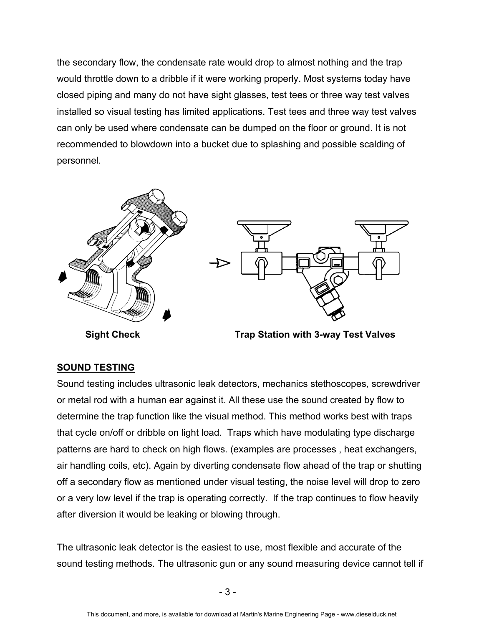the secondary flow, the condensate rate would drop to almost nothing and the trap would throttle down to a dribble if it were working properly. Most systems today have closed piping and many do not have sight glasses, test tees or three way test valves installed so visual testing has limited applications. Test tees and three way test valves can only be used where condensate can be dumped on the floor or ground. It is not recommended to blowdown into a bucket due to splashing and possible scalding of personnel.





# **SOUND TESTING**

Sound testing includes ultrasonic leak detectors, mechanics stethoscopes, screwdriver or metal rod with a human ear against it. All these use the sound created by flow to determine the trap function like the visual method. This method works best with traps that cycle on/off or dribble on light load. Traps which have modulating type discharge patterns are hard to check on high flows. (examples are processes , heat exchangers, air handling coils, etc). Again by diverting condensate flow ahead of the trap or shutting off a secondary flow as mentioned under visual testing, the noise level will drop to zero or a very low level if the trap is operating correctly. If the trap continues to flow heavily after diversion it would be leaking or blowing through.

The ultrasonic leak detector is the easiest to use, most flexible and accurate of the sound testing methods. The ultrasonic gun or any sound measuring device cannot tell if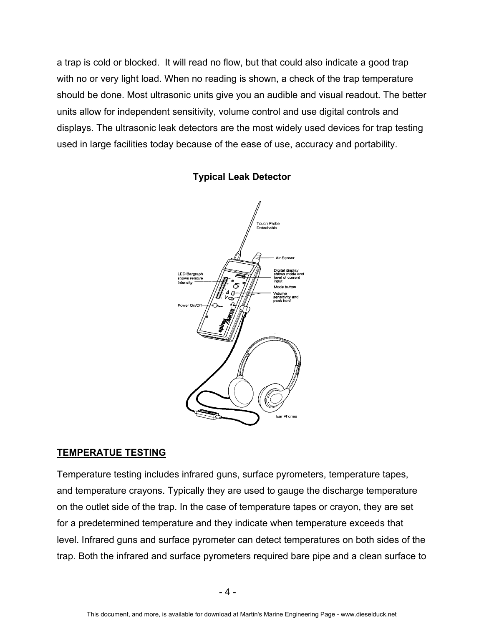a trap is cold or blocked. It will read no flow, but that could also indicate a good trap with no or very light load. When no reading is shown, a check of the trap temperature should be done. Most ultrasonic units give you an audible and visual readout. The better units allow for independent sensitivity, volume control and use digital controls and displays. The ultrasonic leak detectors are the most widely used devices for trap testing used in large facilities today because of the ease of use, accuracy and portability.



### **Typical Leak Detector**

## **TEMPERATUE TESTING**

Temperature testing includes infrared guns, surface pyrometers, temperature tapes, and temperature crayons. Typically they are used to gauge the discharge temperature on the outlet side of the trap. In the case of temperature tapes or crayon, they are set for a predetermined temperature and they indicate when temperature exceeds that level. Infrared guns and surface pyrometer can detect temperatures on both sides of the trap. Both the infrared and surface pyrometers required bare pipe and a clean surface to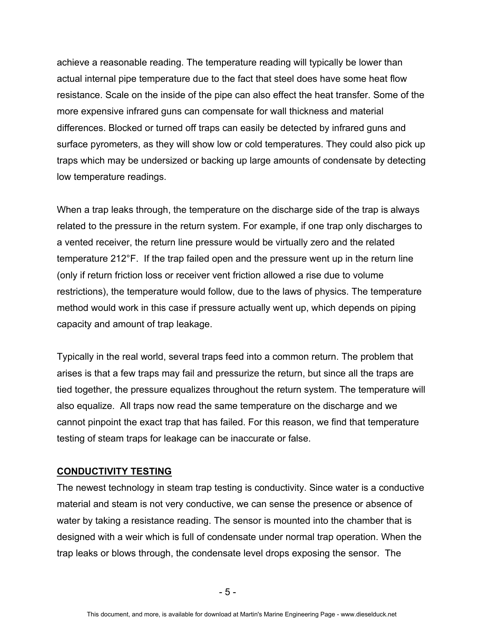achieve a reasonable reading. The temperature reading will typically be lower than actual internal pipe temperature due to the fact that steel does have some heat flow resistance. Scale on the inside of the pipe can also effect the heat transfer. Some of the more expensive infrared guns can compensate for wall thickness and material differences. Blocked or turned off traps can easily be detected by infrared guns and surface pyrometers, as they will show low or cold temperatures. They could also pick up traps which may be undersized or backing up large amounts of condensate by detecting low temperature readings.

When a trap leaks through, the temperature on the discharge side of the trap is always related to the pressure in the return system. For example, if one trap only discharges to a vented receiver, the return line pressure would be virtually zero and the related temperature 212°F. If the trap failed open and the pressure went up in the return line (only if return friction loss or receiver vent friction allowed a rise due to volume restrictions), the temperature would follow, due to the laws of physics. The temperature method would work in this case if pressure actually went up, which depends on piping capacity and amount of trap leakage.

Typically in the real world, several traps feed into a common return. The problem that arises is that a few traps may fail and pressurize the return, but since all the traps are tied together, the pressure equalizes throughout the return system. The temperature will also equalize. All traps now read the same temperature on the discharge and we cannot pinpoint the exact trap that has failed. For this reason, we find that temperature testing of steam traps for leakage can be inaccurate or false.

#### **CONDUCTIVITY TESTING**

The newest technology in steam trap testing is conductivity. Since water is a conductive material and steam is not very conductive, we can sense the presence or absence of water by taking a resistance reading. The sensor is mounted into the chamber that is designed with a weir which is full of condensate under normal trap operation. When the trap leaks or blows through, the condensate level drops exposing the sensor. The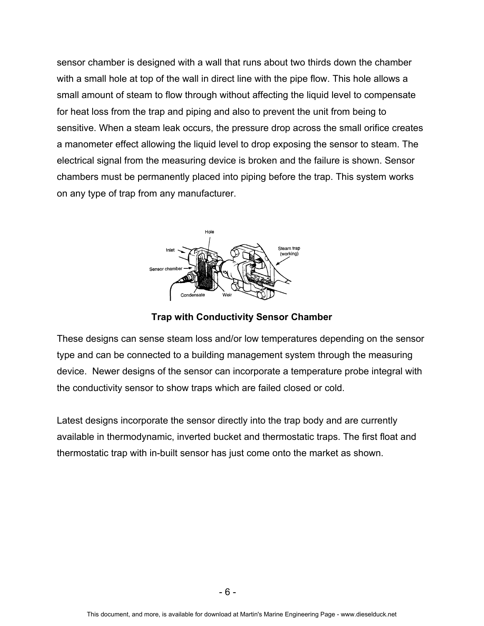sensor chamber is designed with a wall that runs about two thirds down the chamber with a small hole at top of the wall in direct line with the pipe flow. This hole allows a small amount of steam to flow through without affecting the liquid level to compensate for heat loss from the trap and piping and also to prevent the unit from being to sensitive. When a steam leak occurs, the pressure drop across the small orifice creates a manometer effect allowing the liquid level to drop exposing the sensor to steam. The electrical signal from the measuring device is broken and the failure is shown. Sensor chambers must be permanently placed into piping before the trap. This system works on any type of trap from any manufacturer.



**Trap with Conductivity Sensor Chamber** 

These designs can sense steam loss and/or low temperatures depending on the sensor type and can be connected to a building management system through the measuring device. Newer designs of the sensor can incorporate a temperature probe integral with the conductivity sensor to show traps which are failed closed or cold.

Latest designs incorporate the sensor directly into the trap body and are currently available in thermodynamic, inverted bucket and thermostatic traps. The first float and thermostatic trap with in-built sensor has just come onto the market as shown.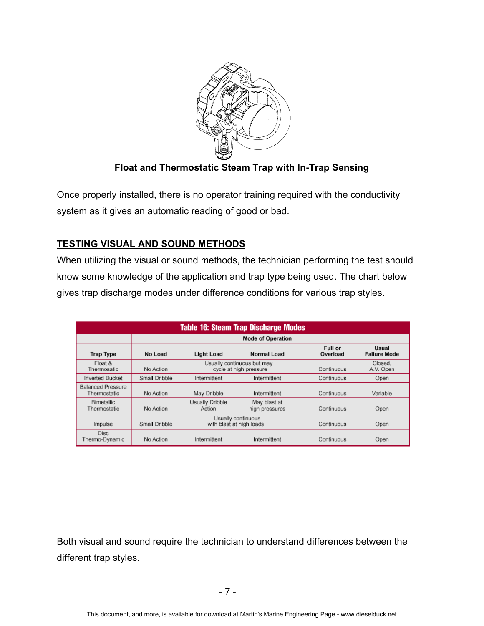

**Float and Thermostatic Steam Trap with In-Trap Sensing** 

Once properly installed, there is no operator training required with the conductivity system as it gives an automatic reading of good or bad.

# **TESTING VISUAL AND SOUND METHODS**

When utilizing the visual or sound methods, the technician performing the test should know some knowledge of the application and trap type being used. The chart below gives trap discharge modes under difference conditions for various trap styles.

| <b>Table 16: Steam Trap Discharge Modes</b> |                          |                                                      |                                |                     |                              |  |
|---------------------------------------------|--------------------------|------------------------------------------------------|--------------------------------|---------------------|------------------------------|--|
|                                             | <b>Mode of Operation</b> |                                                      |                                |                     |                              |  |
| <b>Trap Type</b>                            | No Load                  | <b>Light Load</b>                                    | Normal Load                    | Full or<br>Overload | Usual<br><b>Failure Mode</b> |  |
| Float &<br>Thermosatic                      | No Action                | Usually continuous but may<br>cycle at high pressure |                                | Continuous          | Closed.<br>A.V. Open         |  |
| <b>Inverted Bucket</b>                      | Small Dribble            | Intermittent                                         | Intermittent                   | Continuous          | Open                         |  |
| <b>Balanced Pressure</b><br>Thermostatic    | No Action                | May Dribble                                          | Intermittent                   | Continuous          | Variable                     |  |
| <b>Bimetallic</b><br>Thermostatic           | No Action                | Usually Dribble<br>Action                            | May blast at<br>high pressures | Continuous          | Open                         |  |
| Impulse                                     | Small Dribble            | Usually continuous<br>with blast at high loads       |                                | Continuous          | Open                         |  |
| <b>Disc</b><br>Thermo-Dynamic               | No Action                | Intermittent                                         | Intermittent                   | Continuous          | Open                         |  |

Both visual and sound require the technician to understand differences between the different trap styles.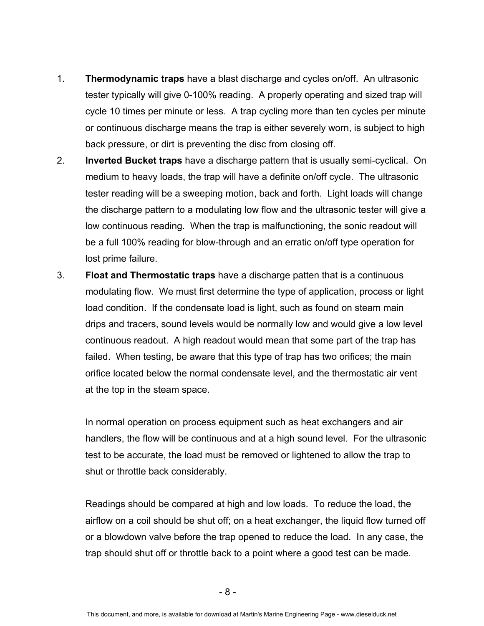- 1. **Thermodynamic traps** have a blast discharge and cycles on/off. An ultrasonic tester typically will give 0-100% reading. A properly operating and sized trap will cycle 10 times per minute or less. A trap cycling more than ten cycles per minute or continuous discharge means the trap is either severely worn, is subject to high back pressure, or dirt is preventing the disc from closing off.
- 2. **Inverted Bucket traps** have a discharge pattern that is usually semi-cyclical. On medium to heavy loads, the trap will have a definite on/off cycle. The ultrasonic tester reading will be a sweeping motion, back and forth. Light loads will change the discharge pattern to a modulating low flow and the ultrasonic tester will give a low continuous reading. When the trap is malfunctioning, the sonic readout will be a full 100% reading for blow-through and an erratic on/off type operation for lost prime failure.
- 3. **Float and Thermostatic traps** have a discharge patten that is a continuous modulating flow. We must first determine the type of application, process or light load condition. If the condensate load is light, such as found on steam main drips and tracers, sound levels would be normally low and would give a low level continuous readout. A high readout would mean that some part of the trap has failed. When testing, be aware that this type of trap has two orifices; the main orifice located below the normal condensate level, and the thermostatic air vent at the top in the steam space.

In normal operation on process equipment such as heat exchangers and air handlers, the flow will be continuous and at a high sound level. For the ultrasonic test to be accurate, the load must be removed or lightened to allow the trap to shut or throttle back considerably.

Readings should be compared at high and low loads. To reduce the load, the airflow on a coil should be shut off; on a heat exchanger, the liquid flow turned off or a blowdown valve before the trap opened to reduce the load. In any case, the trap should shut off or throttle back to a point where a good test can be made.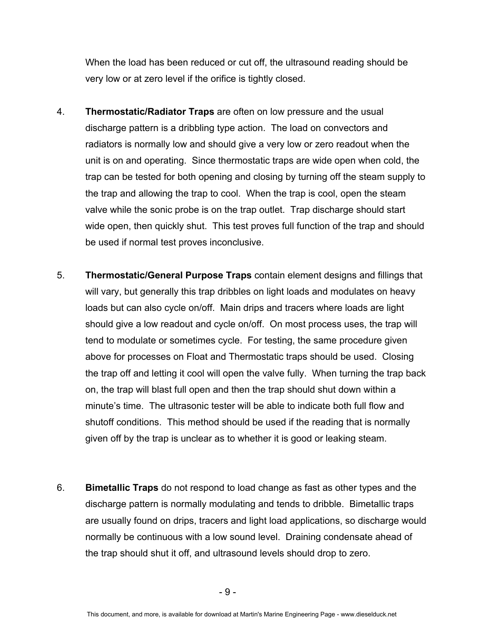When the load has been reduced or cut off, the ultrasound reading should be very low or at zero level if the orifice is tightly closed.

- 4. **Thermostatic/Radiator Traps** are often on low pressure and the usual discharge pattern is a dribbling type action. The load on convectors and radiators is normally low and should give a very low or zero readout when the unit is on and operating. Since thermostatic traps are wide open when cold, the trap can be tested for both opening and closing by turning off the steam supply to the trap and allowing the trap to cool. When the trap is cool, open the steam valve while the sonic probe is on the trap outlet. Trap discharge should start wide open, then quickly shut. This test proves full function of the trap and should be used if normal test proves inconclusive.
- 5. **Thermostatic/General Purpose Traps** contain element designs and fillings that will vary, but generally this trap dribbles on light loads and modulates on heavy loads but can also cycle on/off. Main drips and tracers where loads are light should give a low readout and cycle on/off. On most process uses, the trap will tend to modulate or sometimes cycle. For testing, the same procedure given above for processes on Float and Thermostatic traps should be used. Closing the trap off and letting it cool will open the valve fully. When turning the trap back on, the trap will blast full open and then the trap should shut down within a minute's time. The ultrasonic tester will be able to indicate both full flow and shutoff conditions. This method should be used if the reading that is normally given off by the trap is unclear as to whether it is good or leaking steam.
- 6. **Bimetallic Traps** do not respond to load change as fast as other types and the discharge pattern is normally modulating and tends to dribble. Bimetallic traps are usually found on drips, tracers and light load applications, so discharge would normally be continuous with a low sound level. Draining condensate ahead of the trap should shut it off, and ultrasound levels should drop to zero.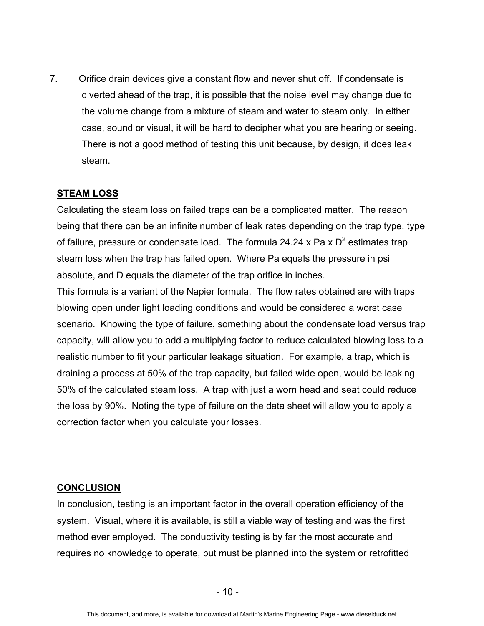7. Orifice drain devices give a constant flow and never shut off. If condensate is diverted ahead of the trap, it is possible that the noise level may change due to the volume change from a mixture of steam and water to steam only. In either case, sound or visual, it will be hard to decipher what you are hearing or seeing. There is not a good method of testing this unit because, by design, it does leak steam.

### **STEAM LOSS**

Calculating the steam loss on failed traps can be a complicated matter. The reason being that there can be an infinite number of leak rates depending on the trap type, type of failure, pressure or condensate load. The formula 24.24 x Pa x  $D^2$  estimates trap steam loss when the trap has failed open. Where Pa equals the pressure in psi absolute, and D equals the diameter of the trap orifice in inches.

This formula is a variant of the Napier formula. The flow rates obtained are with traps blowing open under light loading conditions and would be considered a worst case scenario. Knowing the type of failure, something about the condensate load versus trap capacity, will allow you to add a multiplying factor to reduce calculated blowing loss to a realistic number to fit your particular leakage situation. For example, a trap, which is draining a process at 50% of the trap capacity, but failed wide open, would be leaking 50% of the calculated steam loss. A trap with just a worn head and seat could reduce the loss by 90%. Noting the type of failure on the data sheet will allow you to apply a correction factor when you calculate your losses.

#### **CONCLUSION**

In conclusion, testing is an important factor in the overall operation efficiency of the system. Visual, where it is available, is still a viable way of testing and was the first method ever employed. The conductivity testing is by far the most accurate and requires no knowledge to operate, but must be planned into the system or retrofitted